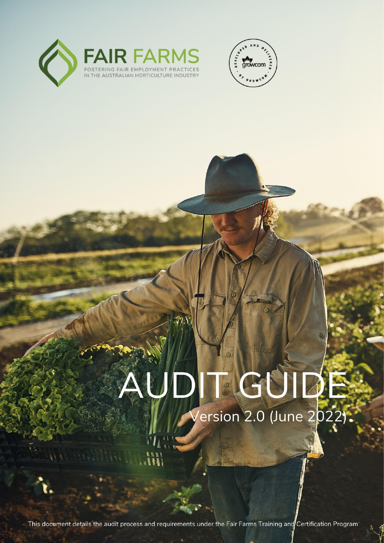



# G  $\odot$ resion 2.0 (June 2022)

This document details the audit process and requirements under the Fair Farms Training and Certification Program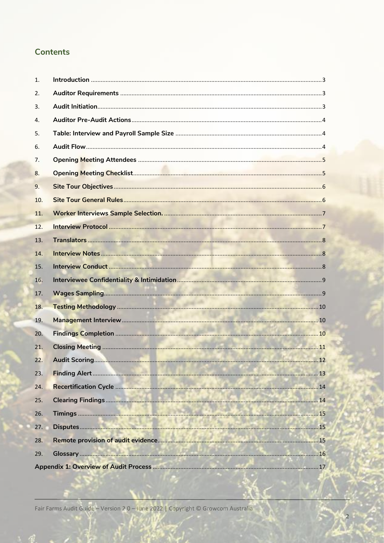# **Contents**

| 1.  |  |
|-----|--|
| 2.  |  |
| 3.  |  |
| 4.  |  |
| 5.  |  |
| 6.  |  |
| 7.  |  |
| 8.  |  |
| 9.  |  |
| 10. |  |
| 11. |  |
| 12. |  |
| 13. |  |
| 14. |  |
| 15. |  |
| 16. |  |
| 17. |  |
| 18. |  |
| 19. |  |
| 20. |  |
| 21. |  |
| 22. |  |
| 23. |  |
| 24. |  |
| 25. |  |
| 26. |  |
| 27. |  |
| 28. |  |
| 29. |  |
|     |  |

Fair Farms Audit Guide - Version 2.0 - June 2022 | Copyright © Growcom Australia

 $\overline{2}$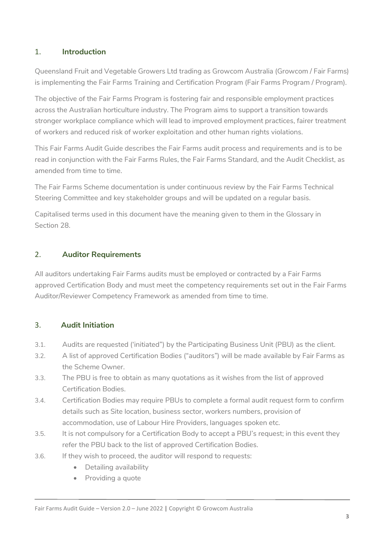## <span id="page-2-0"></span>1. **Introduction**

Queensland Fruit and Vegetable Growers Ltd trading as Growcom Australia (Growcom / Fair Farms) is implementing the Fair Farms Training and Certification Program (Fair Farms Program / Program).

The objective of the Fair Farms Program is fostering fair and responsible employment practices across the Australian horticulture industry. The Program aims to support a transition towards stronger workplace compliance which will lead to improved employment practices, fairer treatment of workers and reduced risk of worker exploitation and other human rights violations.

This Fair Farms Audit Guide describes the Fair Farms audit process and requirements and is to be read in conjunction with the Fair Farms Rules, the Fair Farms Standard, and the Audit Checklist, as amended from time to time.

The Fair Farms Scheme documentation is under continuous review by the Fair Farms Technical Steering Committee and key stakeholder groups and will be updated on a regular basis.

Capitalised terms used in this document have the meaning given to them in the Glossary in Section 28.

## <span id="page-2-1"></span>2. **Auditor Requirements**

All auditors undertaking Fair Farms audits must be employed or contracted by a Fair Farms approved Certification Body and must meet the competency requirements set out in the Fair Farms Auditor/Reviewer Competency Framework as amended from time to time.

## <span id="page-2-2"></span>3. **Audit Initiation**

- 3.1. Audits are requested ('initiated") by the Participating Business Unit (PBU) as the client.
- 3.2. A list of approved Certification Bodies ("auditors") will be made available by Fair Farms as the Scheme Owner.
- 3.3. The PBU is free to obtain as many quotations as it wishes from the list of approved Certification Bodies.
- 3.4. Certification Bodies may require PBUs to complete a formal audit request form to confirm details such as Site location, business sector, workers numbers, provision of accommodation, use of Labour Hire Providers, languages spoken etc.
- 3.5. It is not compulsory for a Certification Body to accept a PBU's request; in this event they refer the PBU back to the list of approved Certification Bodies.
- 3.6. If they wish to proceed, the auditor will respond to requests:
	- Detailing availability
	- Providing a quote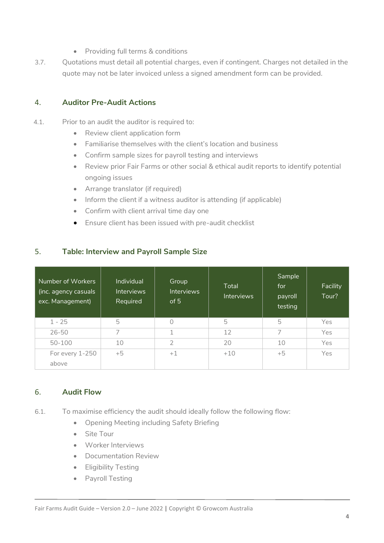- Providing full terms & conditions
- 3.7. Quotations must detail all potential charges, even if contingent. Charges not detailed in the quote may not be later invoiced unless a signed amendment form can be provided.

## <span id="page-3-0"></span>4. **Auditor Pre-Audit Actions**

- 4.1. Prior to an audit the auditor is required to:
	- Review client application form
	- Familiarise themselves with the client's location and business
	- Confirm sample sizes for payroll testing and interviews
	- Review prior Fair Farms or other social & ethical audit reports to identify potential ongoing issues
	- Arrange translator (if required)
	- Inform the client if a witness auditor is attending (if applicable)
	- Confirm with client arrival time day one
	- Ensure client has been issued with pre-audit checklist

## <span id="page-3-1"></span>5. **Table: Interview and Payroll Sample Size**

| Number of Workers<br>$\sqrt{$ inc. agency casuals<br>exc. Management) | <b>Individual</b><br><b>Interviews</b><br>Required | Group<br><b>Interviews</b><br>of 5 | Total<br><b>Interviews</b> | Sample<br>for<br>payroll<br>testing | Facility<br>Tour? |
|-----------------------------------------------------------------------|----------------------------------------------------|------------------------------------|----------------------------|-------------------------------------|-------------------|
| $1 - 25$                                                              | 5                                                  | 0                                  | 5                          | 5                                   | Yes               |
| $26 - 50$                                                             |                                                    | 4                                  | 12                         | 7                                   | Yes               |
| $50 - 100$                                                            | 10                                                 | $\overline{2}$                     | 20                         | 10                                  | Yes               |
| For every 1-250                                                       | $+5$                                               | $+1$                               | $+10$                      | $+5$                                | Yes               |
| above                                                                 |                                                    |                                    |                            |                                     |                   |

#### <span id="page-3-2"></span>6. **Audit Flow**

- 6.1. To maximise efficiency the audit should ideally follow the following flow:
	- Opening Meeting including Safety Briefing
	- Site Tour
	- Worker Interviews
	- Documentation Review
	- Eligibility Testing
	- Payroll Testing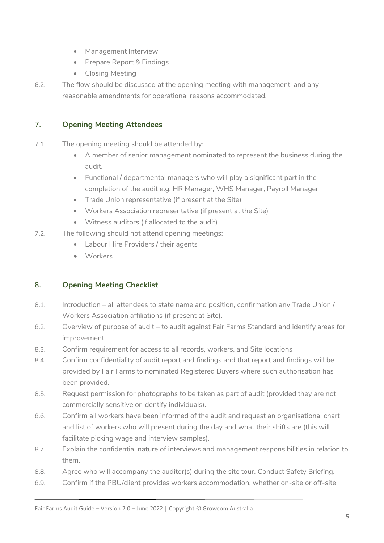- Management Interview
- Prepare Report & Findings
- Closing Meeting
- 6.2. The flow should be discussed at the opening meeting with management, and any reasonable amendments for operational reasons accommodated.

## <span id="page-4-0"></span>7. **Opening Meeting Attendees**

- 7.1. The opening meeting should be attended by:
	- A member of senior management nominated to represent the business during the audit.
	- Functional / departmental managers who will play a significant part in the completion of the audit e.g. HR Manager, WHS Manager, Payroll Manager
	- Trade Union representative (if present at the Site)
	- Workers Association representative (if present at the Site)
	- Witness auditors (if allocated to the audit)
- 7.2. The following should not attend opening meetings:
	- Labour Hire Providers / their agents
	- Workers

## <span id="page-4-1"></span>8. **Opening Meeting Checklist**

- 8.1. Introduction all attendees to state name and position, confirmation any Trade Union / Workers Association affiliations (if present at Site).
- 8.2. Overview of purpose of audit to audit against Fair Farms Standard and identify areas for improvement.
- 8.3. Confirm requirement for access to all records, workers, and Site locations
- 8.4. Confirm confidentiality of audit report and findings and that report and findings will be provided by Fair Farms to nominated Registered Buyers where such authorisation has been provided.
- 8.5. Request permission for photographs to be taken as part of audit (provided they are not commercially sensitive or identify individuals).
- 8.6. Confirm all workers have been informed of the audit and request an organisational chart and list of workers who will present during the day and what their shifts are (this will facilitate picking wage and interview samples).
- 8.7. Explain the confidential nature of interviews and management responsibilities in relation to them.
- 8.8. Agree who will accompany the auditor(s) during the site tour. Conduct Safety Briefing.
- 8.9. Confirm if the PBU/client provides workers accommodation, whether on-site or off-site.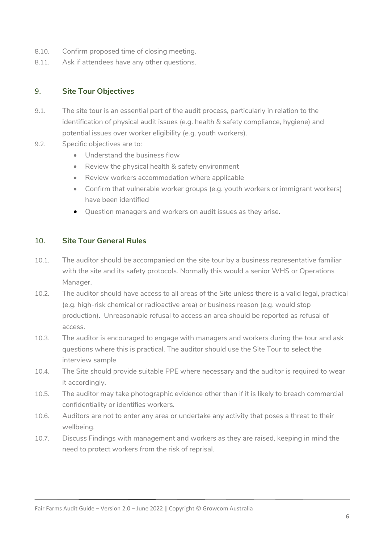- 8.10. Confirm proposed time of closing meeting.
- 8.11. Ask if attendees have any other questions.

## <span id="page-5-0"></span>9. **Site Tour Objectives**

- 9.1. The site tour is an essential part of the audit process, particularly in relation to the identification of physical audit issues (e.g. health & safety compliance, hygiene) and potential issues over worker eligibility (e.g. youth workers).
- 9.2. Specific objectives are to:
	- Understand the business flow
	- Review the physical health & safety environment
	- Review workers accommodation where applicable
	- Confirm that vulnerable worker groups (e.g. youth workers or immigrant workers) have been identified
	- Question managers and workers on audit issues as they arise.

#### <span id="page-5-1"></span>10. **Site Tour General Rules**

- 10.1. The auditor should be accompanied on the site tour by a business representative familiar with the site and its safety protocols. Normally this would a senior WHS or Operations Manager.
- 10.2. The auditor should have access to all areas of the Site unless there is a valid legal, practical (e.g. high-risk chemical or radioactive area) or business reason (e.g. would stop production). Unreasonable refusal to access an area should be reported as refusal of access.
- 10.3. The auditor is encouraged to engage with managers and workers during the tour and ask questions where this is practical. The auditor should use the Site Tour to select the interview sample
- 10.4. The Site should provide suitable PPE where necessary and the auditor is required to wear it accordingly.
- 10.5. The auditor may take photographic evidence other than if it is likely to breach commercial confidentiality or identifies workers.
- 10.6. Auditors are not to enter any area or undertake any activity that poses a threat to their wellbeing.
- 10.7. Discuss Findings with management and workers as they are raised, keeping in mind the need to protect workers from the risk of reprisal.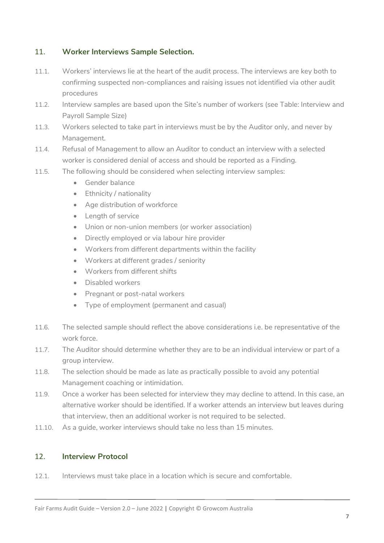## <span id="page-6-0"></span>11. **Worker Interviews Sample Selection.**

- 11.1. Workers' interviews lie at the heart of the audit process. The interviews are key both to confirming suspected non-compliances and raising issues not identified via other audit procedures
- 11.2. Interview samples are based upon the Site's number of workers (see Table: Interview and Payroll Sample Size)
- 11.3. Workers selected to take part in interviews must be by the Auditor only, and never by Management.
- 11.4. Refusal of Management to allow an Auditor to conduct an interview with a selected worker is considered denial of access and should be reported as a Finding.
- 11.5. The following should be considered when selecting interview samples:
	- Gender balance
	- Ethnicity / nationality
	- Age distribution of workforce
	- Length of service
	- Union or non-union members (or worker association)
	- Directly employed or via labour hire provider
	- Workers from different departments within the facility
	- Workers at different grades / seniority
	- Workers from different shifts
	- Disabled workers
	- Pregnant or post-natal workers
	- Type of employment (permanent and casual)
- 11.6. The selected sample should reflect the above considerations i.e. be representative of the work force.
- 11.7. The Auditor should determine whether they are to be an individual interview or part of a group interview.
- 11.8. The selection should be made as late as practically possible to avoid any potential Management coaching or intimidation.
- 11.9. Once a worker has been selected for interview they may decline to attend. In this case, an alternative worker should be identified. If a worker attends an interview but leaves during that interview, then an additional worker is not required to be selected.
- 11.10. As a guide, worker interviews should take no less than 15 minutes.

## <span id="page-6-1"></span>12. **Interview Protocol**

12.1. Interviews must take place in a location which is secure and comfortable.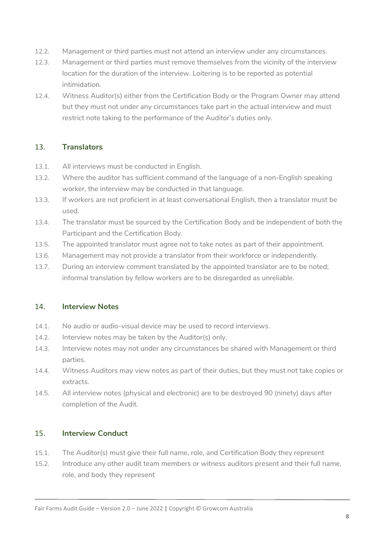- 12.2. Management or third parties must not attend an interview under any circumstances.
- 12.3. Management or third parties must remove themselves from the vicinity of the interview location for the duration of the interview. Loitering is to be reported as potential intimidation.
- 12.4. Witness Auditor(s) either from the Certification Body or the Program Owner may attend but they must not under any circumstances take part in the actual interview and must restrict note taking to the performance of the Auditor's duties only.

## <span id="page-7-0"></span>13. **Translators**

- 13.1. All interviews must be conducted in English.
- 13.2. Where the auditor has sufficient command of the language of a non-English speaking worker, the interview may be conducted in that language.
- 13.3. If workers are not proficient in at least conversational English, then a translator must be used.
- 13.4. The translator must be sourced by the Certification Body and be independent of both the Participant and the Certification Body.
- 13.5. The appointed translator must agree not to take notes as part of their appointment.
- 13.6. Management may not provide a translator from their workforce or independently.
- 13.7. During an interview comment translated by the appointed translator are to be noted; informal translation by fellow workers are to be disregarded as unreliable.

#### <span id="page-7-1"></span>14. **Interview Notes**

- 14.1. No audio or audio-visual device may be used to record interviews.
- 14.2. Interview notes may be taken by the Auditor(s) only.
- 14.3. Interview notes may not under any circumstances be shared with Management or third parties.
- 14.4. Witness Auditors may view notes as part of their duties, but they must not take copies or extracts.
- 14.5. All interview notes (physical and electronic) are to be destroyed 90 (ninety) days after completion of the Audit.

#### <span id="page-7-2"></span>15. **Interview Conduct**

- 15.1. The Auditor(s) must give their full name, role, and Certification Body they represent
- 15.2. Introduce any other audit team members or witness auditors present and their full name, role, and body they represent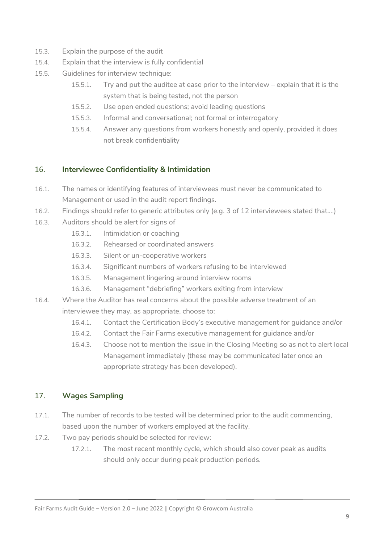- 15.3. Explain the purpose of the audit
- 15.4. Explain that the interview is fully confidential
- 15.5. Guidelines for interview technique:
	- 15.5.1. Try and put the auditee at ease prior to the interview explain that it is the system that is being tested, not the person
	- 15.5.2. Use open ended questions; avoid leading questions
	- 15.5.3. Informal and conversational; not formal or interrogatory
	- 15.5.4. Answer any questions from workers honestly and openly, provided it does not break confidentiality

## <span id="page-8-0"></span>16. **Interviewee Confidentiality & Intimidation**

- 16.1. The names or identifying features of interviewees must never be communicated to Management or used in the audit report findings.
- 16.2. Findings should refer to generic attributes only (e.g. 3 of 12 interviewees stated that….)
- 16.3. Auditors should be alert for signs of
	- 16.3.1. Intimidation or coaching
	- 16.3.2. Rehearsed or coordinated answers
	- 16.3.3. Silent or un-cooperative workers
	- 16.3.4. Significant numbers of workers refusing to be interviewed
	- 16.3.5. Management lingering around interview rooms
	- 16.3.6. Management "debriefing" workers exiting from interview
- 16.4. Where the Auditor has real concerns about the possible adverse treatment of an interviewee they may, as appropriate, choose to:
	- 16.4.1. Contact the Certification Body's executive management for guidance and/or
	- 16.4.2. Contact the Fair Farms executive management for guidance and/or
	- 16.4.3. Choose not to mention the issue in the Closing Meeting so as not to alert local Management immediately (these may be communicated later once an appropriate strategy has been developed).

## <span id="page-8-1"></span>17. **Wages Sampling**

- 17.1. The number of records to be tested will be determined prior to the audit commencing, based upon the number of workers employed at the facility.
- 17.2. Two pay periods should be selected for review:
	- 17.2.1. The most recent monthly cycle, which should also cover peak as audits should only occur during peak production periods.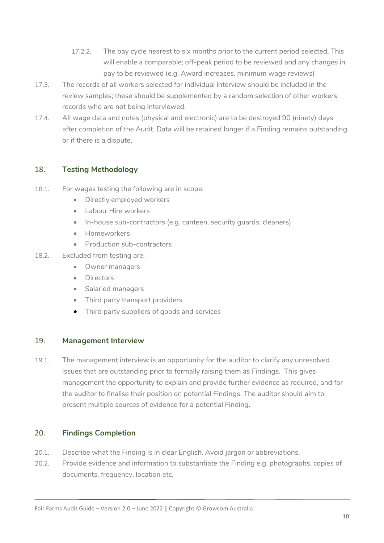- 17.2.2. The pay cycle nearest to six months prior to the current period selected. This will enable a comparable; off-peak period to be reviewed and any changes in pay to be reviewed (e.g. Award increases, minimum wage reviews)
- 17.3. The records of all workers selected for individual interview should be included in the review samples; these should be supplemented by a random selection of other workers records who are not being interviewed.
- 17.4. All wage data and notes (physical and electronic) are to be destroyed 90 (ninety) days after completion of the Audit. Data will be retained longer if a Finding remains outstanding or if there is a dispute.

## <span id="page-9-0"></span>18. **Testing Methodology**

- 18.1. For wages testing the following are in scope:
	- Directly employed workers
	- Labour Hire workers
	- In-house sub-contractors (e.g. canteen, security guards, cleaners)
	- Homeworkers
	- Production sub-contractors
- 18.2. Excluded from testing are:
	- Owner managers
	- Directors
	- Salaried managers
	- Third party transport providers
	- Third party suppliers of goods and services

#### <span id="page-9-1"></span>19. **Management Interview**

19.1. The management interview is an opportunity for the auditor to clarify any unresolved issues that are outstanding prior to formally raising them as Findings. This gives management the opportunity to explain and provide further evidence as required, and for the auditor to finalise their position on potential Findings. The auditor should aim to present multiple sources of evidence for a potential Finding.

#### <span id="page-9-2"></span>20. **Findings Completion**

- 20.1. Describe what the Finding is in clear English. Avoid jargon or abbreviations.
- 20.2. Provide evidence and information to substantiate the Finding e.g. photographs, copies of documents, frequency, location etc.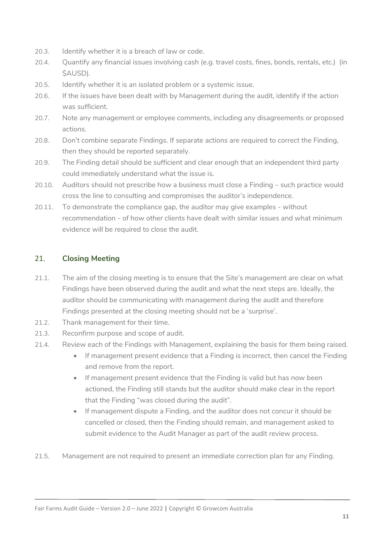- 20.3. Identify whether it is a breach of law or code.
- 20.4. Quantify any financial issues involving cash (e.g. travel costs, fines, bonds, rentals, etc.) (in \$AUSD).
- 20.5. Identify whether it is an isolated problem or a systemic issue.
- 20.6. If the issues have been dealt with by Management during the audit, identify if the action was sufficient.
- 20.7. Note any management or employee comments, including any disagreements or proposed actions.
- 20.8. Don't combine separate Findings. If separate actions are required to correct the Finding, then they should be reported separately.
- 20.9. The Finding detail should be sufficient and clear enough that an independent third party could immediately understand what the issue is.
- 20.10. Auditors should not prescribe how a business must close a Finding such practice would cross the line to consulting and compromises the auditor's independence.
- 20.11. To demonstrate the compliance gap, the auditor may give examples without recommendation - of how other clients have dealt with similar issues and what minimum evidence will be required to close the audit.

## <span id="page-10-0"></span>21. **Closing Meeting**

- 21.1. The aim of the closing meeting is to ensure that the Site's management are clear on what Findings have been observed during the audit and what the next steps are. Ideally, the auditor should be communicating with management during the audit and therefore Findings presented at the closing meeting should not be a 'surprise'.
- 21.2. Thank management for their time.
- 21.3. Reconfirm purpose and scope of audit.
- 21.4. Review each of the Findings with Management, explaining the basis for them being raised.
	- If management present evidence that a Finding is incorrect, then cancel the Finding and remove from the report.
	- If management present evidence that the Finding is valid but has now been actioned, the Finding still stands but the auditor should make clear in the report that the Finding "was closed during the audit".
	- If management dispute a Finding, and the auditor does not concur it should be cancelled or closed, then the Finding should remain, and management asked to submit evidence to the Audit Manager as part of the audit review process.
- 21.5. Management are not required to present an immediate correction plan for any Finding.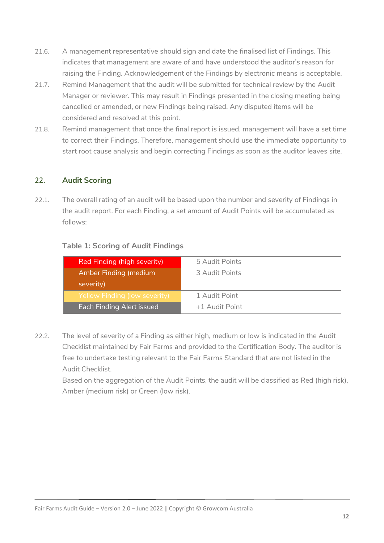- 21.6. A management representative should sign and date the finalised list of Findings. This indicates that management are aware of and have understood the auditor's reason for raising the Finding. Acknowledgement of the Findings by electronic means is acceptable.
- 21.7. Remind Management that the audit will be submitted for technical review by the Audit Manager or reviewer. This may result in Findings presented in the closing meeting being cancelled or amended, or new Findings being raised. Any disputed items will be considered and resolved at this point.
- 21.8. Remind management that once the final report is issued, management will have a set time to correct their Findings. Therefore, management should use the immediate opportunity to start root cause analysis and begin correcting Findings as soon as the auditor leaves site.

#### <span id="page-11-0"></span>22. **Audit Scoring**

22.1. The overall rating of an audit will be based upon the number and severity of Findings in the audit report. For each Finding, a set amount of Audit Points will be accumulated as follows:

#### **Table 1: Scoring of Audit Findings**

| Red Finding (high severity)   | 5 Audit Points |
|-------------------------------|----------------|
| <b>Amber Finding (medium</b>  | 3 Audit Points |
| severity)                     |                |
| Yellow Finding (low severity) | 1 Audit Point  |
| Each Finding Alert issued     | +1 Audit Point |

22.2. The level of severity of a Finding as either high, medium or low is indicated in the Audit Checklist maintained by Fair Farms and provided to the Certification Body. The auditor is free to undertake testing relevant to the Fair Farms Standard that are not listed in the Audit Checklist.

Based on the aggregation of the Audit Points, the audit will be classified as Red (high risk), Amber (medium risk) or Green (low risk).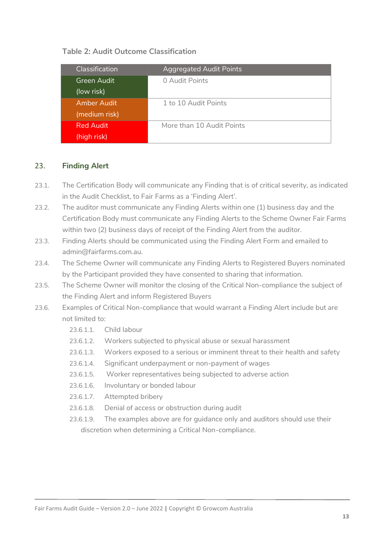#### **Table 2: Audit Outcome Classification**

<span id="page-12-0"></span>

| Classification | <b>Aggregated Audit Points</b> |
|----------------|--------------------------------|
| Green Audit    | 0 Audit Points                 |
| (low risk)     |                                |
| Amber Audit    | 1 to 10 Audit Points           |
| (medium risk)  |                                |
| Red Audit      | More than 10 Audit Points      |
| (high risk)    |                                |

## 23. **Finding Alert**

- 23.1. The Certification Body will communicate any Finding that is of critical severity, as indicated in the Audit Checklist, to Fair Farms as a 'Finding Alert'.
- 23.2. The auditor must communicate any Finding Alerts within one (1) business day and the Certification Body must communicate any Finding Alerts to the Scheme Owner Fair Farms within two (2) business days of receipt of the Finding Alert from the auditor.
- 23.3. Finding Alerts should be communicated using the Finding Alert Form and emailed to admin@fairfarms.com.au.
- 23.4. The Scheme Owner will communicate any Finding Alerts to Registered Buyers nominated by the Participant provided they have consented to sharing that information.
- 23.5. The Scheme Owner will monitor the closing of the Critical Non-compliance the subject of the Finding Alert and inform Registered Buyers
- 23.6. Examples of Critical Non-compliance that would warrant a Finding Alert include but are not limited to:
	- 23.6.1.1 Child labour
	- 23.6.1.2. Workers subjected to physical abuse or sexual harassment
	- 23.6.1.3. Workers exposed to a serious or imminent threat to their health and safety
	- 23.6.1.4. Significant underpayment or non-payment of wages
	- 23.6.1.5. Worker representatives being subjected to adverse action
	- 23.6.1.6. Involuntary or bonded labour
	- 23.6.1.7. Attempted bribery
	- 23.6.1.8. Denial of access or obstruction during audit
	- 23.6.1.9. The examples above are for guidance only and auditors should use their discretion when determining a Critical Non-compliance.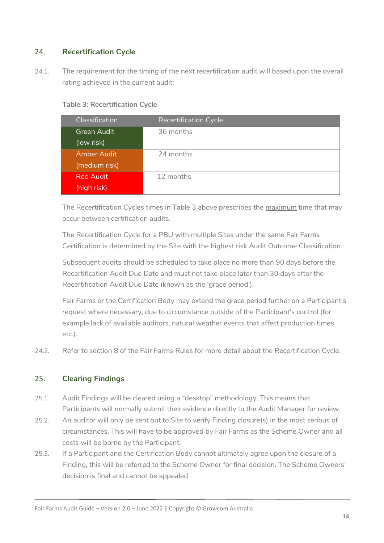## <span id="page-13-0"></span>24. **Recertification Cycle**

24.1. The requirement for the timing of the next recertification audit will based upon the overall rating achieved in the current audit:

**Table 3: Recertification Cycle** 

| Classification     | <b>Recertification Cycle</b> |
|--------------------|------------------------------|
| <b>Green Audit</b> | 36 months                    |
| (low risk)         |                              |
| <b>Amber Audit</b> | 24 months                    |
| (medium risk)      |                              |
| <b>Red Audit</b>   | 12 months                    |
| (high risk)        |                              |

The Recertification Cycles times in Table 3 above prescribes the maximum time that may occur between certification audits.

The Recertification Cycle for a PBU with multiple Sites under the same Fair Farms Certification is determined by the Site with the highest risk Audit Outcome Classification.

Subsequent audits should be scheduled to take place no more than 90 days before the Recertification Audit Due Date and must not take place later than 30 days after the Recertification Audit Due Date (known as the 'grace period').

Fair Farms or the Certification Body may extend the grace period further on a Participant's request where necessary, due to circumstance outside of the Participant's control (for example lack of available auditors, natural weather events that affect production times etc.).

24.2. Refer to section 8 of the Fair Farms Rules for more detail about the Recertification Cycle.

## <span id="page-13-1"></span>25. **Clearing Findings**

- 25.1. Audit Findings will be cleared using a "desktop" methodology. This means that Participants will normally submit their evidence directly to the Audit Manager for review.
- 25.2. An auditor will only be sent out to Site to verify Finding closure(s) in the most serious of circumstances. This will have to be approved by Fair Farms as the Scheme Owner and all costs will be borne by the Participant.
- 25.3. If a Participant and the Certification Body cannot ultimately agree upon the closure of a Finding, this will be referred to the Scheme Owner for final decision. The Scheme Owners' decision is final and cannot be appealed.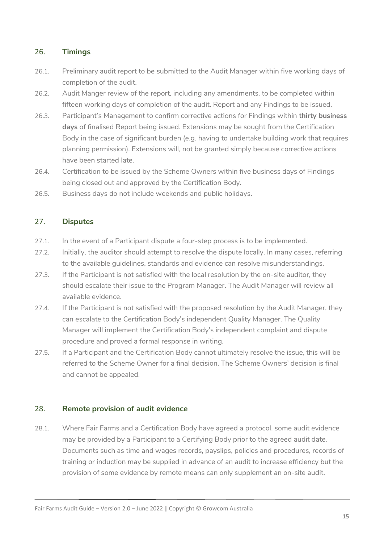## <span id="page-14-0"></span>26. **Timings**

- 26.1. Preliminary audit report to be submitted to the Audit Manager within five working days of completion of the audit.
- 26.2. Audit Manger review of the report, including any amendments, to be completed within fifteen working days of completion of the audit. Report and any Findings to be issued.
- 26.3. Participant's Management to confirm corrective actions for Findings within **thirty business days** of finalised Report being issued. Extensions may be sought from the Certification Body in the case of significant burden (e.g. having to undertake building work that requires planning permission). Extensions will, not be granted simply because corrective actions have been started late.
- 26.4. Certification to be issued by the Scheme Owners within five business days of Findings being closed out and approved by the Certification Body.
- 26.5. Business days do not include weekends and public holidays.

## <span id="page-14-1"></span>27. **Disputes**

- 27.1. In the event of a Participant dispute a four-step process is to be implemented.
- 27.2. Initially, the auditor should attempt to resolve the dispute locally. In many cases, referring to the available guidelines, standards and evidence can resolve misunderstandings.
- 27.3. If the Participant is not satisfied with the local resolution by the on-site auditor, they should escalate their issue to the Program Manager. The Audit Manager will review all available evidence.
- 27.4. If the Participant is not satisfied with the proposed resolution by the Audit Manager, they can escalate to the Certification Body's independent Quality Manager. The Quality Manager will implement the Certification Body's independent complaint and dispute procedure and proved a formal response in writing.
- 27.5. If a Participant and the Certification Body cannot ultimately resolve the issue, this will be referred to the Scheme Owner for a final decision. The Scheme Owners' decision is final and cannot be appealed.

#### <span id="page-14-2"></span>28. **Remote provision of audit evidence**

28.1. Where Fair Farms and a Certification Body have agreed a protocol, some audit evidence may be provided by a Participant to a Certifying Body prior to the agreed audit date. Documents such as time and wages records, payslips, policies and procedures, records of training or induction may be supplied in advance of an audit to increase efficiency but the provision of some evidence by remote means can only supplement an on-site audit.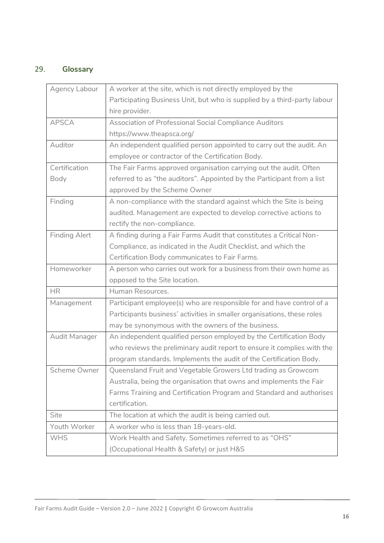# <span id="page-15-0"></span>29. **Glossary**

| Agency Labour        | A worker at the site, which is not directly employed by the              |
|----------------------|--------------------------------------------------------------------------|
|                      | Participating Business Unit, but who is supplied by a third-party labour |
|                      | hire provider.                                                           |
| <b>APSCA</b>         | Association of Professional Social Compliance Auditors                   |
|                      | https://www.theapsca.org/                                                |
| Auditor              | An independent qualified person appointed to carry out the audit. An     |
|                      | employee or contractor of the Certification Body.                        |
| Certification        | The Fair Farms approved organisation carrying out the audit. Often       |
| Body                 | referred to as "the auditors". Appointed by the Participant from a list  |
|                      | approved by the Scheme Owner                                             |
| Finding              | A non-compliance with the standard against which the Site is being       |
|                      | audited. Management are expected to develop corrective actions to        |
|                      | rectify the non-compliance.                                              |
| <b>Finding Alert</b> | A finding during a Fair Farms Audit that constitutes a Critical Non-     |
|                      | Compliance, as indicated in the Audit Checklist, and which the           |
|                      | Certification Body communicates to Fair Farms.                           |
| Homeworker           | A person who carries out work for a business from their own home as      |
|                      | opposed to the Site location.                                            |
| <b>HR</b>            | Human Resources.                                                         |
| Management           | Participant employee(s) who are responsible for and have control of a    |
|                      | Participants business' activities in smaller organisations, these roles  |
|                      | may be synonymous with the owners of the business.                       |
| Audit Manager        | An independent qualified person employed by the Certification Body       |
|                      | who reviews the preliminary audit report to ensure it complies with the  |
|                      | program standards. Implements the audit of the Certification Body.       |
| Scheme Owner         | Queensland Fruit and Vegetable Growers Ltd trading as Growcom            |
|                      | Australia, being the organisation that owns and implements the Fair      |
|                      | Farms Training and Certification Program and Standard and authorises     |
|                      | certification.                                                           |
| Site                 | The location at which the audit is being carried out.                    |
| Youth Worker         | A worker who is less than 18-years-old.                                  |
| <b>WHS</b>           | Work Health and Safety. Sometimes referred to as "OHS"                   |
|                      | (Occupational Health & Safety) or just H&S                               |